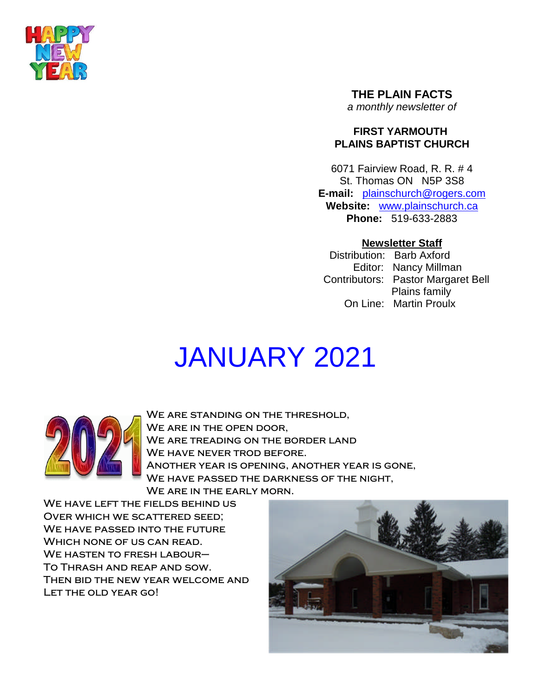

**THE PLAIN FACTS** *a monthly newsletter of*

# **FIRST YARMOUTH PLAINS BAPTIST CHURCH**

6071 Fairview Road, R. R. # 4 St. Thomas ON N5P 3S8 **E-mail:** plainschurch@rogers.com **Website:** www.plainschurch.ca **Phone:** 519-633-2883

# **Newsletter Staff**

Distribution: Barb Axford Editor: Nancy Millman Contributors: Pastor Margaret Bell Plains family On Line: Martin Proulx

# JANUARY 2021



We are standing on the threshold, WE ARE IN THE OPEN DOOR. We are treading on the border land WE HAVE NEVER TROD BEFORE. Another year is opening, another year is gone, We have passed the darkness of the night, WE ARE IN THE EARLY MORN.

WE HAVE LEFT THE FIELDS BEHIND US Over which we scattered seed; WE HAVE PASSED INTO THE FUTURE Which none of us can read. WE HASTEN TO FRESH LABOUR-To Thrash and reap and sow. Then bid the new year welcome and Let the old year go!

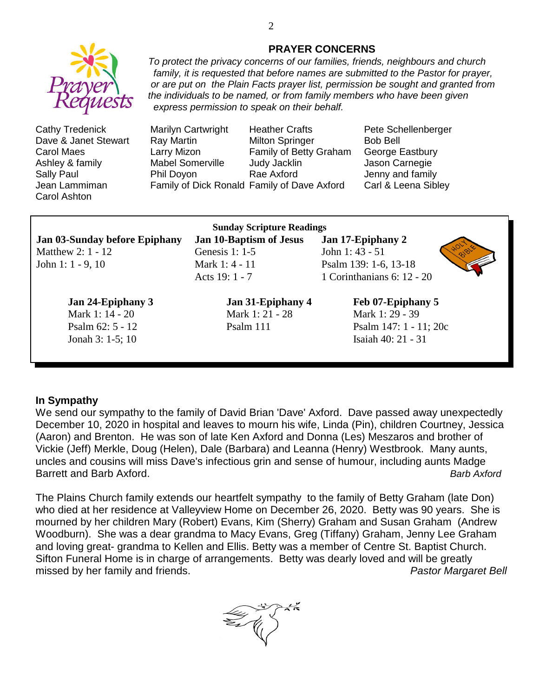

Jean Lammiman Family of Dick Ronald Family of Dave Axford Carl & Leena Sibley Carol Ashton

#### **PRAYER CONCERNS**

*To protect the privacy concerns of our families, friends, neighbours and church family, it is requested that before names are submitted to the Pastor for prayer, or are put on the Plain Facts prayer list, permission be sought and granted from the individuals to be named, or from family members who have been given express permission to speak on their behalf.*

Cathy Tredenick Marilyn Cartwright Heather Crafts Pete Schellenberger Dave & Janet Stewart Ray Martin Milton Springer Bob Bell Carol Maes Larry Mizon Family of Betty Graham George Eastbury Ashley & family **Mabel Somerville** Judy Jacklin **Mallow** Jason Carnegie Sally Paul **Phil Doyon** Rae Axford **Paul Access** Jenny and family

Jonah 3: 1-5; 10 Isaiah 40: 21 - 31

**Sunday Scripture Readings Jan 03-Sunday before Epiphany Jan 10-Baptism of Jesus Jan 17-Epiphany 2** Matthew 2: 1 - 12 Genesis 1: 1-5 John 1: 43 - 51 John 1: 1 - 9, 10 Mark 1: 4 - 11 Psalm 139: 1-6, 13-18 Acts 19: 1 - 7 1 Corinthanians 6: 12 - 20

Mark 1: 14 - 20 Mark 1: 21 - 28 Mark 1: 29 - 39

**Jan 24-Epiphany 3 Jan 31-Epiphany 4 Feb 07-Epiphany 5**



Psalm 62: 5 - 12 Psalm 111 Psalm 147: 1 - 11: 20c

#### **In Sympathy**

We send our sympathy to the family of David Brian 'Dave' Axford. Dave passed away unexpectedly December 10, 2020 in hospital and leaves to mourn his wife, Linda (Pin), children Courtney, Jessica (Aaron) and Brenton. He was son of late Ken Axford and Donna (Les) Meszaros and brother of Vickie (Jeff) Merkle, Doug (Helen), Dale (Barbara) and Leanna (Henry) Westbrook. Many aunts, uncles and cousins will miss Dave's infectious grin and sense of humour, including aunts Madge Barrett and Barb Axford. *Barb Axford*

The Plains Church family extends our heartfelt sympathy to the family of Betty Graham (late Don) who died at her residence at Valleyview Home on December 26, 2020. Betty was 90 years. She is mourned by her children Mary (Robert) Evans, Kim (Sherry) Graham and Susan Graham (Andrew Woodburn). She was a dear grandma to Macy Evans, Greg (Tiffany) Graham, Jenny Lee Graham and loving great- grandma to Kellen and Ellis. Betty was a member of Centre St. Baptist Church. Sifton Funeral Home is in charge of arrangements. Betty was dearly loved and will be greatly missed by her family and friends. *Pastor Margaret Bell*

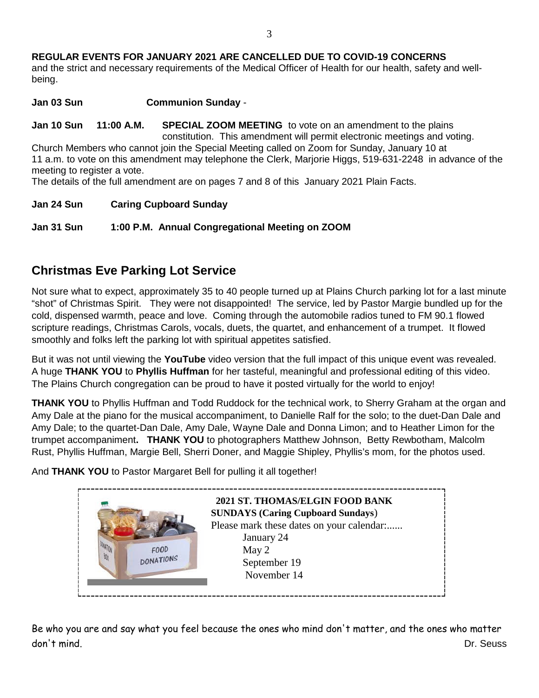**REGULAR EVENTS FOR JANUARY 2021 ARE CANCELLED DUE TO COVID-19 CONCERNS** and the strict and necessary requirements of the Medical Officer of Health for our health, safety and wellbeing.

**Jan 03 Sun Communion Sunday** -

**Jan 10 Sun 11:00 A.M. SPECIAL ZOOM MEETING** to vote on an amendment to the plains constitution. This amendment will permit electronic meetings and voting. Church Members who cannot join the Special Meeting called on Zoom for Sunday, January 10 at

11 a.m. to vote on this amendment may telephone the Clerk, Marjorie Higgs, 519-631-2248 in advance of the meeting to register a vote.

The details of the full amendment are on pages 7 and 8 of this January 2021 Plain Facts.

**Jan 24 Sun Caring Cupboard Sunday**

**Jan 31 Sun 1:00 P.M. Annual Congregational Meeting on ZOOM**

# **Christmas Eve Parking Lot Service**

Not sure what to expect, approximately 35 to 40 people turned up at Plains Church parking lot for a last minute "shot" of Christmas Spirit. They were not disappointed! The service, led by Pastor Margie bundled up for the cold, dispensed warmth, peace and love. Coming through the automobile radios tuned to FM 90.1 flowed scripture readings, Christmas Carols, vocals, duets, the quartet, and enhancement of a trumpet. It flowed smoothly and folks left the parking lot with spiritual appetites satisfied.

But it was not until viewing the **YouTube** video version that the full impact of this unique event was revealed. A huge **THANK YOU** to **Phyllis Huffman** for her tasteful, meaningful and professional editing of this video. The Plains Church congregation can be proud to have it posted virtually for the world to enjoy!

**THANK YOU** to Phyllis Huffman and Todd Ruddock for the technical work, to Sherry Graham at the organ and Amy Dale at the piano for the musical accompaniment, to Danielle Ralf for the solo; to the duet-Dan Dale and Amy Dale; to the quartet-Dan Dale, Amy Dale, Wayne Dale and Donna Limon; and to Heather Limon for the trumpet accompaniment**. THANK YOU** to photographers Matthew Johnson, Betty Rewbotham, Malcolm Rust, Phyllis Huffman, Margie Bell, Sherri Doner, and Maggie Shipley, Phyllis's mom, for the photos used.

And **THANK YOU** to Pastor Margaret Bell for pulling it all together!



Be who you are and say what you feel because the ones who mind don't matter, and the ones who matter don't mind. Dr. Seuss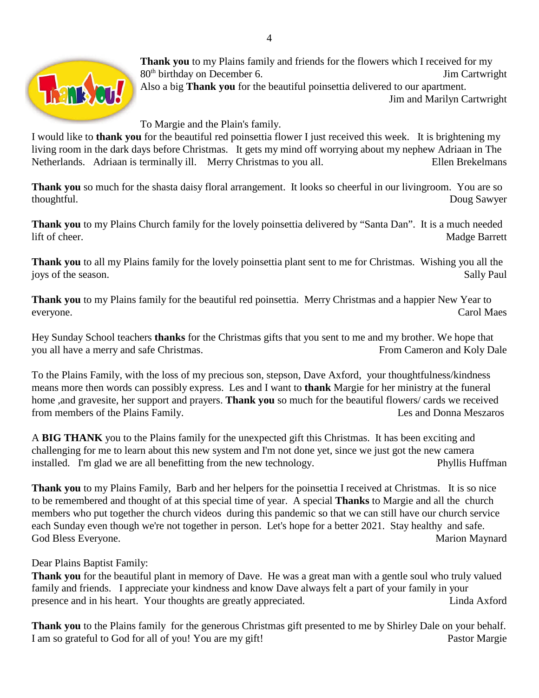

**Thank you** to my Plains family and friends for the flowers which I received for my 80<sup>th</sup> birthday on December 6. Solution of the state of the state of the state of the state of the state of the state of the state of the state of the state of the state of the state of the state of the state of the state Also a big **Thank you** for the beautiful poinsettia delivered to our apartment. Jim and Marilyn Cartwright

To Margie and the Plain's family.

I would like to **thank you** for the beautiful red poinsettia flower I just received this week. It is brightening my living room in the dark days before Christmas. It gets my mind off worrying about my nephew Adriaan in The Netherlands. Adriaan is terminally ill. Merry Christmas to you all. Ellen Brekelmans

**Thank you** so much for the shasta daisy floral arrangement. It looks so cheerful in our livingroom. You are so thoughtful. Doug Sawyer

**Thank you** to my Plains Church family for the lovely poinsettia delivered by "Santa Dan". It is a much needed lift of cheer. Madge Barrett

**Thank you** to all my Plains family for the lovely poinsettia plant sent to me for Christmas. Wishing you all the joys of the season. Sally Paul

**Thank you** to my Plains family for the beautiful red poinsettia. Merry Christmas and a happier New Year to everyone. Carol Maes

Hey Sunday School teachers **thanks** for the Christmas gifts that you sent to me and my brother. We hope that you all have a merry and safe Christmas. From Cameron and Koly Dale

To the Plains Family, with the loss of my precious son, stepson, Dave Axford, your thoughtfulness/kindness means more then words can possibly express. Les and I want to **thank** Margie for her ministry at the funeral home ,and gravesite, her support and prayers. **Thank you** so much for the beautiful flowers/ cards we received from members of the Plains Family. Les and Donna Meszaros

A **BIG THANK** you to the Plains family for the unexpected gift this Christmas. It has been exciting and challenging for me to learn about this new system and I'm not done yet, since we just got the new camera installed. I'm glad we are all benefitting from the new technology. Phyllis Huffman

**Thank you** to my Plains Family, Barb and her helpers for the poinsettia I received at Christmas. It is so nice to be remembered and thought of at this special time of year. A special **Thanks** to Margie and all the church members who put together the church videos during this pandemic so that we can still have our church service each Sunday even though we're not together in person. Let's hope for a better 2021. Stay healthy and safe. God Bless Everyone. Marion Maynard

Dear Plains Baptist Family:

**Thank you** for the beautiful plant in memory of Dave. He was a great man with a gentle soul who truly valued family and friends. I appreciate your kindness and know Dave always felt a part of your family in your presence and in his heart. Your thoughts are greatly appreciated. Linda Axford

**Thank you** to the Plains family for the generous Christmas gift presented to me by Shirley Dale on your behalf. I am so grateful to God for all of you! You are my gift! Pastor Margie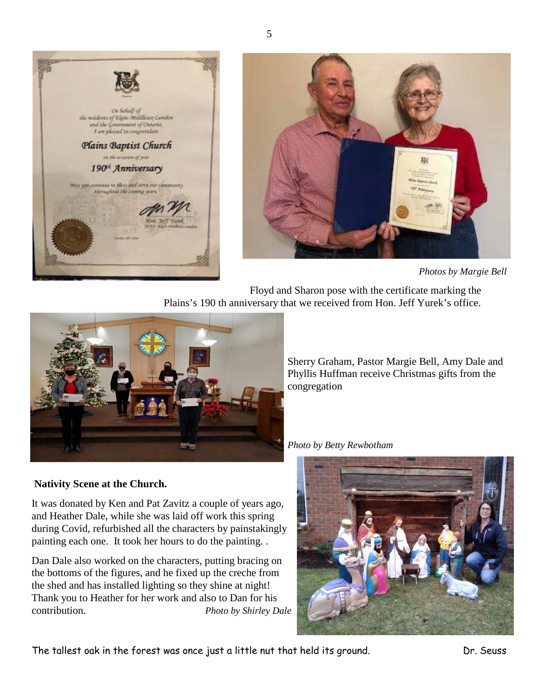



*Photos by Margie Bell*

Floyd and Sharon pose with the certificate marking the Plains's 190 th anniversary that we received from Hon. Jeff Yurek's office.



Sherry Graham, Pastor Margie Bell, Amy Dale and Phyllis Huffman receive Christmas gifts from the congregation

*Photo by Betty Rewbotham*

#### **Nativity Scene at the Church.**

It was donated by Ken and Pat Zavitz a couple of years ago, and Heather Dale, while she was laid off work this spring during Covid, refurbished all the characters by painstakingly painting each one. It took her hours to do the painting. .

Dan Dale also worked on the characters, putting bracing on the bottoms of the figures, and he fixed up the creche from the shed and has installed lighting so they shine at night! Thank you to Heather for her work and also to Dan for his contribution. *Photo by Shirley Dale*



The tallest oak in the forest was once just a little nut that held its ground. Dr. Seuss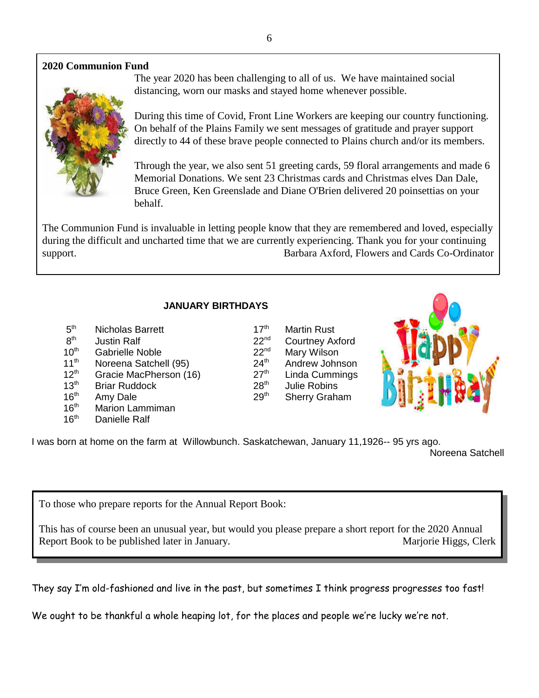# **2020 Communion Fund**



The year 2020 has been challenging to all of us. We have maintained social distancing, worn our masks and stayed home whenever possible.

During this time of Covid, Front Line Workers are keeping our country functioning. On behalf of the Plains Family we sent messages of gratitude and prayer support directly to 44 of these brave people connected to Plains church and/or its members.

Through the year, we also sent 51 greeting cards, 59 floral arrangements and made 6 Memorial Donations. We sent 23 Christmas cards and Christmas elves Dan Dale, Bruce Green, Ken Greenslade and Diane O'Brien delivered 20 poinsettias on your behalf.

The Communion Fund is invaluable in letting people know that they are remembered and loved, especially during the difficult and uncharted time that we are currently experiencing. Thank you for your continuing support. Barbara Axford, Flowers and Cards Co-Ordinator

### **JANUARY BIRTHDAYS**

 $5<sup>th</sup>$ Nicholas Barrett 17<sup>th</sup> Martin Rust  $8<sup>th</sup>$ Justin Ralf 22<sup>nd</sup> Courtney Axford 10<sup>th</sup> Gabrielle Noble 22<sup>nd</sup> Mary Wilson 11<sup>th</sup> Noreena Satchell (95) 24<sup>th</sup> Andrew Johnson  $12<sup>th</sup>$  Gracie MacPherson (16) 27<sup>th</sup> Linda Cummings 13<sup>th</sup> Briar Ruddock 28<sup>th</sup> Julie Robins 16<sup>th</sup> Amy Dale 29<sup>th</sup> Sherry Graham 16<sup>th</sup> Marion Lammiman 16th Danielle Ralf



I was born at home on the farm at Willowbunch. Saskatchewan, January 11,1926-- 95 yrs ago.

Noreena Satchell

To those who prepare reports for the Annual Report Book:

This has of course been an unusual year, but would you please prepare a short report for the 2020 Annual Report Book to be published later in January. Marjorie Higgs, Clerk

They say I'm old-fashioned and live in the past, but sometimes I think progress progresses too fast!

We ought to be thankful a whole heaping lot, for the places and people we're lucky we're not.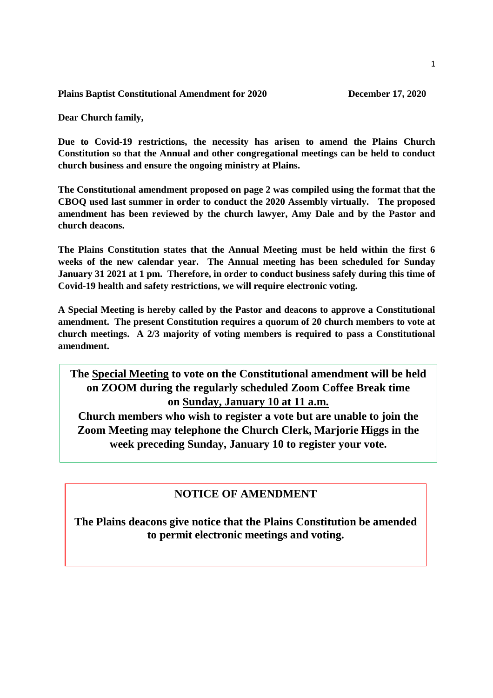**Plains Baptist Constitutional Amendment for 2020 December 17, 2020** 

**Dear Church family,**

**Due to Covid-19 restrictions, the necessity has arisen to amend the Plains Church Constitution so that the Annual and other congregational meetings can be held to conduct church business and ensure the ongoing ministry at Plains.**

**The Constitutional amendment proposed on page 2 was compiled using the format that the CBOQ used last summer in order to conduct the 2020 Assembly virtually. The proposed amendment has been reviewed by the church lawyer, Amy Dale and by the Pastor and church deacons.**

**The Plains Constitution states that the Annual Meeting must be held within the first 6 weeks of the new calendar year. The Annual meeting has been scheduled for Sunday January 31 2021 at 1 pm. Therefore, in order to conduct business safely during this time of Covid-19 health and safety restrictions, we will require electronic voting.**

**A Special Meeting is hereby called by the Pastor and deacons to approve a Constitutional amendment. The present Constitution requires a quorum of 20 church members to vote at church meetings. A 2/3 majority of voting members is required to pass a Constitutional amendment.**

**The Special Meeting to vote on the Constitutional amendment will be held on ZOOM during the regularly scheduled Zoom Coffee Break time on Sunday, January 10 at 11 a.m.**

**Church members who wish to register a vote but are unable to join the Zoom Meeting may telephone the Church Clerk, Marjorie Higgs in the week preceding Sunday, January 10 to register your vote.**

# **NOTICE OF AMENDMENT**

**The Plains deacons give notice that the Plains Constitution be amended to permit electronic meetings and voting.**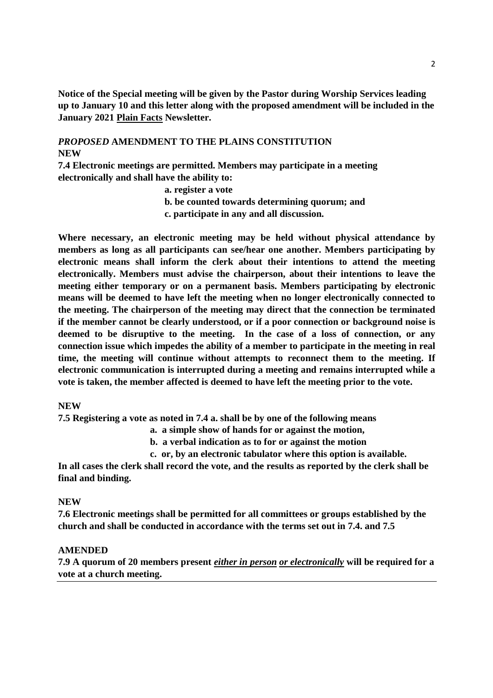**Notice of the Special meeting will be given by the Pastor during Worship Services leading up to January 10 and this letter along with the proposed amendment will be included in the January 2021 Plain Facts Newsletter.**

### *PROPOSED* **AMENDMENT TO THE PLAINS CONSTITUTION NEW**

**7.4 Electronic meetings are permitted. Members may participate in a meeting electronically and shall have the ability to:**

**a. register a vote**

**b. be counted towards determining quorum; and**

**c. participate in any and all discussion.**

**Where necessary, an electronic meeting may be held without physical attendance by members as long as all participants can see/hear one another. Members participating by electronic means shall inform the clerk about their intentions to attend the meeting electronically. Members must advise the chairperson, about their intentions to leave the meeting either temporary or on a permanent basis. Members participating by electronic means will be deemed to have left the meeting when no longer electronically connected to the meeting. The chairperson of the meeting may direct that the connection be terminated if the member cannot be clearly understood, or if a poor connection or background noise is deemed to be disruptive to the meeting. In the case of a loss of connection, or any connection issue which impedes the ability of a member to participate in the meeting in real time, the meeting will continue without attempts to reconnect them to the meeting. If electronic communication is interrupted during a meeting and remains interrupted while a vote is taken, the member affected is deemed to have left the meeting prior to the vote.**

#### **NEW**

**7.5 Registering a vote as noted in 7.4 a. shall be by one of the following means**

**a. a simple show of hands for or against the motion,**

**b. a verbal indication as to for or against the motion**

**c. or, by an electronic tabulator where this option is available.**

**In all cases the clerk shall record the vote, and the results as reported by the clerk shall be final and binding.**

#### **NEW**

**7.6 Electronic meetings shall be permitted for all committees or groups established by the church and shall be conducted in accordance with the terms set out in 7.4. and 7.5**

#### **AMENDED**

**7.9 A quorum of 20 members present** *either in person or electronically* **will be required for a vote at a church meeting.**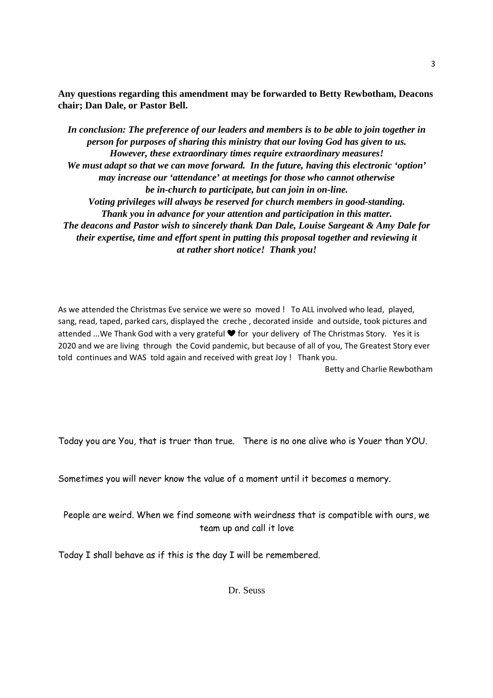**Any questions regarding this amendment may be forwarded to Betty Rewbotham, Deacons chair; Dan Dale, or Pastor Bell.**

*In conclusion: The preference of our leaders and members is to be able to join together in person for purposes of sharing this ministry that our loving God has given to us. However, these extraordinary times require extraordinary measures! We must adapt so that we can move forward. In the future, having this electronic 'option' may increase our 'attendance' at meetings for those who cannot otherwise be in-church to participate, but can join in on-line. Voting privileges will always be reserved for church members in good-standing. Thank you in advance for your attention and participation in this matter. The deacons and Pastor wish to sincerely thank Dan Dale, Louise Sargeant & Amy Dale for their expertise, time and effort spent in putting this proposal together and reviewing it at rather short notice! Thank you!*

As we attended the Christmas Eve service we were so moved ! To ALL involved who lead, played, sang, read, taped, parked cars, displayed the creche , decorated inside and outside, took pictures and attended ...We Thank God with a very grateful  $\blacktriangledown$  for your delivery of The Christmas Story. Yes it is 2020 and we are living through the Covid pandemic, but because of all of you, The Greatest Story ever told continues and WAS told again and received with great Joy ! Thank you.

Betty and Charlie Rewbotham

Today you are You, that is truer than true. There is no one alive who is Youer than YOU.

Sometimes you will never know the value of a moment until it becomes a memory.

People are weird. When we find someone with weirdness that is compatible with ours, we team up and call it love

Today I shall behave as if this is the day I will be remembered.

Dr. Seuss